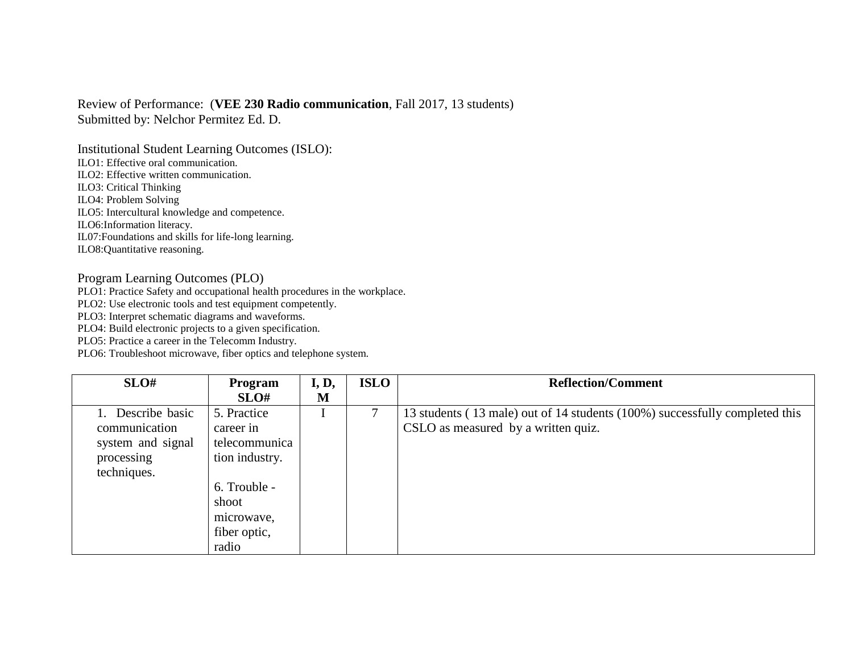## Review of Performance: (**VEE 230 Radio communication**, Fall 2017, 13 students) Submitted by: Nelchor Permitez Ed. D.

Institutional Student Learning Outcomes (ISLO): ILO1: Effective oral communication. ILO2: Effective written communication. ILO3: Critical Thinking ILO4: Problem Solving ILO5: Intercultural knowledge and competence. ILO6:Information literacy. IL07:Foundations and skills for life-long learning. ILO8:Quantitative reasoning.

## Program Learning Outcomes (PLO)

PLO1: Practice Safety and occupational health procedures in the workplace.

PLO2: Use electronic tools and test equipment competently.

PLO3: Interpret schematic diagrams and waveforms.

PLO4: Build electronic projects to a given specification.

PLO5: Practice a career in the Telecomm Industry.

PLO6: Troubleshoot microwave, fiber optics and telephone system.

| SLO#              | Program        | I, D, | <b>ISLO</b> | <b>Reflection/Comment</b>                                                   |
|-------------------|----------------|-------|-------------|-----------------------------------------------------------------------------|
|                   | SLO#           | M     |             |                                                                             |
| Describe basic    | 5. Practice    |       | 7           | 13 students (13 male) out of 14 students (100%) successfully completed this |
| communication     | career in      |       |             | CSLO as measured by a written quiz.                                         |
| system and signal | telecommunica  |       |             |                                                                             |
| processing        | tion industry. |       |             |                                                                             |
| techniques.       |                |       |             |                                                                             |
|                   | 6. Trouble -   |       |             |                                                                             |
|                   | shoot          |       |             |                                                                             |
|                   | microwave,     |       |             |                                                                             |
|                   | fiber optic,   |       |             |                                                                             |
|                   | radio          |       |             |                                                                             |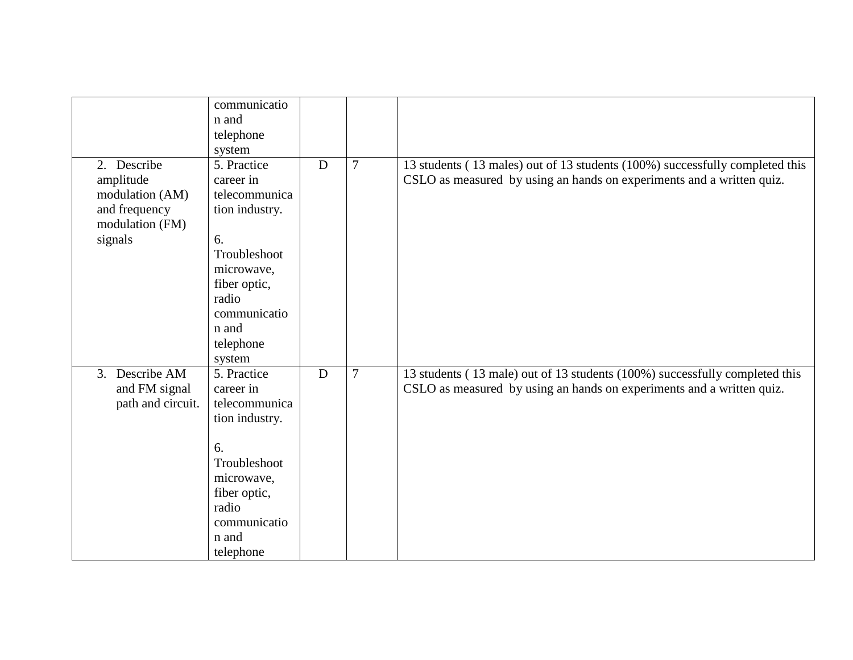|                   | communicatio   |             |                |                                                                              |
|-------------------|----------------|-------------|----------------|------------------------------------------------------------------------------|
|                   | n and          |             |                |                                                                              |
|                   | telephone      |             |                |                                                                              |
|                   | system         |             |                |                                                                              |
| 2. Describe       | 5. Practice    | $\mathbf D$ | $\overline{7}$ | 13 students (13 males) out of 13 students (100%) successfully completed this |
| amplitude         | career in      |             |                | CSLO as measured by using an hands on experiments and a written quiz.        |
| modulation (AM)   | telecommunica  |             |                |                                                                              |
| and frequency     | tion industry. |             |                |                                                                              |
| modulation (FM)   |                |             |                |                                                                              |
| signals           | 6.             |             |                |                                                                              |
|                   | Troubleshoot   |             |                |                                                                              |
|                   | microwave,     |             |                |                                                                              |
|                   | fiber optic,   |             |                |                                                                              |
|                   | radio          |             |                |                                                                              |
|                   | communicatio   |             |                |                                                                              |
|                   | n and          |             |                |                                                                              |
|                   |                |             |                |                                                                              |
|                   | telephone      |             |                |                                                                              |
|                   | system         |             |                |                                                                              |
| 3. Describe AM    | 5. Practice    | D           | $\overline{7}$ | 13 students (13 male) out of 13 students (100%) successfully completed this  |
| and FM signal     | career in      |             |                | CSLO as measured by using an hands on experiments and a written quiz.        |
| path and circuit. | telecommunica  |             |                |                                                                              |
|                   | tion industry. |             |                |                                                                              |
|                   |                |             |                |                                                                              |
|                   | 6.             |             |                |                                                                              |
|                   | Troubleshoot   |             |                |                                                                              |
|                   | microwave,     |             |                |                                                                              |
|                   | fiber optic,   |             |                |                                                                              |
|                   | radio          |             |                |                                                                              |
|                   | communicatio   |             |                |                                                                              |
|                   | n and          |             |                |                                                                              |
|                   | telephone      |             |                |                                                                              |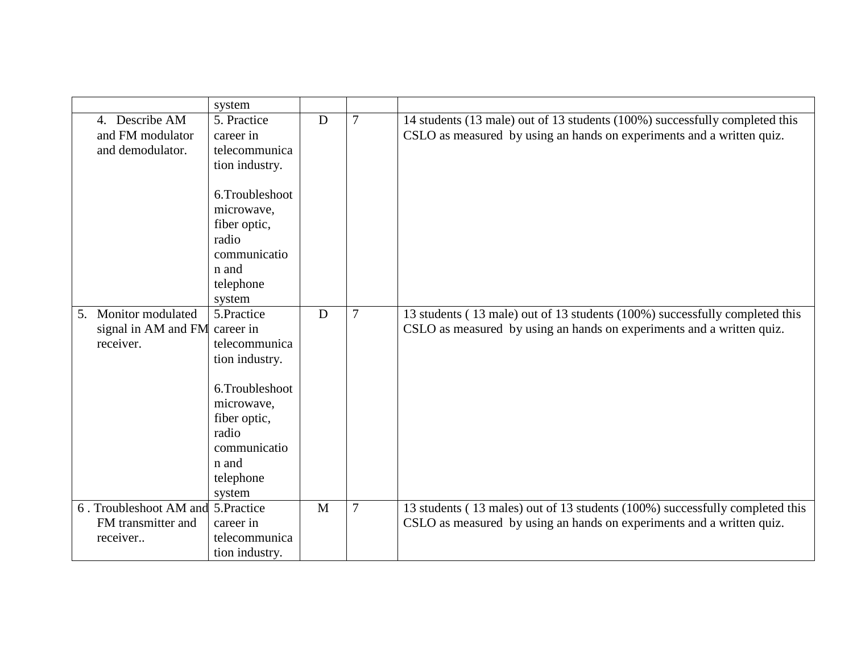|    |                                    | system          |              |                |                                                                              |
|----|------------------------------------|-----------------|--------------|----------------|------------------------------------------------------------------------------|
|    | 4. Describe AM                     | 5. Practice     | D            | $\overline{7}$ | 14 students (13 male) out of 13 students (100%) successfully completed this  |
|    | and FM modulator                   | career in       |              |                | CSLO as measured by using an hands on experiments and a written quiz.        |
|    | and demodulator.                   | telecommunica   |              |                |                                                                              |
|    |                                    | tion industry.  |              |                |                                                                              |
|    |                                    |                 |              |                |                                                                              |
|    |                                    | 6.Troubleshoot  |              |                |                                                                              |
|    |                                    | microwave,      |              |                |                                                                              |
|    |                                    | fiber optic,    |              |                |                                                                              |
|    |                                    | radio           |              |                |                                                                              |
|    |                                    | communicatio    |              |                |                                                                              |
|    |                                    | n and           |              |                |                                                                              |
|    |                                    | telephone       |              |                |                                                                              |
|    |                                    | system          |              |                |                                                                              |
| 5. | Monitor modulated                  | 5.Practice      | D            | $\overline{7}$ | 13 students (13 male) out of 13 students (100%) successfully completed this  |
|    | signal in AM and FM                | career in       |              |                | CSLO as measured by using an hands on experiments and a written quiz.        |
|    | receiver.                          | telecommunica   |              |                |                                                                              |
|    |                                    | tion industry.  |              |                |                                                                              |
|    |                                    |                 |              |                |                                                                              |
|    |                                    | 6. Troubleshoot |              |                |                                                                              |
|    |                                    | microwave,      |              |                |                                                                              |
|    |                                    | fiber optic,    |              |                |                                                                              |
|    |                                    | radio           |              |                |                                                                              |
|    |                                    | communicatio    |              |                |                                                                              |
|    |                                    | n and           |              |                |                                                                              |
|    |                                    | telephone       |              |                |                                                                              |
|    |                                    | system          |              |                |                                                                              |
|    | 6. Troubleshoot AM and 5. Practice |                 | $\mathbf{M}$ | $\overline{7}$ | 13 students (13 males) out of 13 students (100%) successfully completed this |
|    | FM transmitter and                 | career in       |              |                | CSLO as measured by using an hands on experiments and a written quiz.        |
|    | receiver                           | telecommunica   |              |                |                                                                              |
|    |                                    | tion industry.  |              |                |                                                                              |